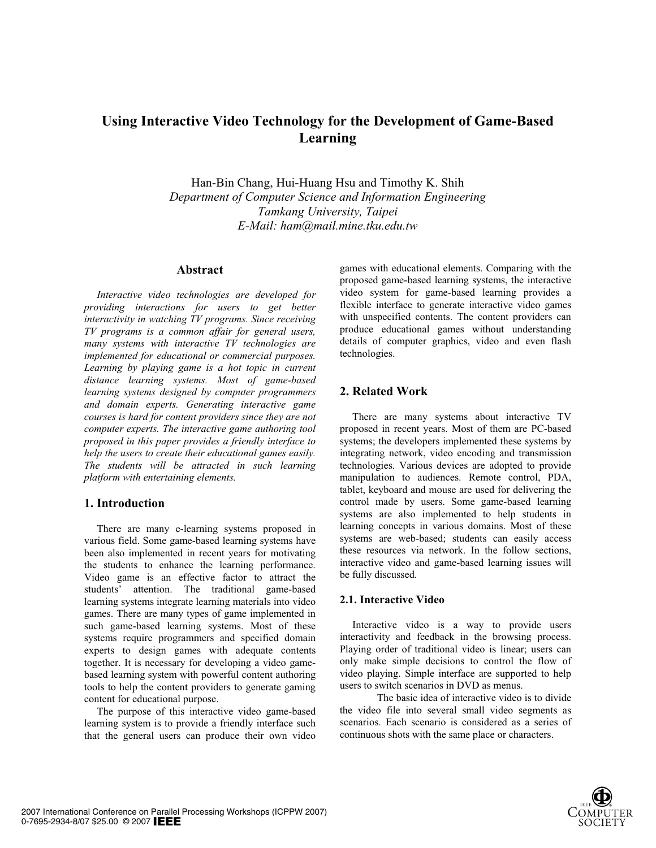# **Using Interactive Video Technology for the Development of Game-Based Learning**

Han-Bin Chang, Hui-Huang Hsu and Timothy K. Shih *Department of Computer Science and Information Engineering Tamkang University, Taipei E-Mail: ham@mail.mine.tku.edu.tw* 

#### **Abstract**

*Interactive video technologies are developed for providing interactions for users to get better interactivity in watching TV programs. Since receiving TV programs is a common affair for general users, many systems with interactive TV technologies are implemented for educational or commercial purposes. Learning by playing game is a hot topic in current distance learning systems. Most of game-based learning systems designed by computer programmers and domain experts. Generating interactive game courses is hard for content providers since they are not computer experts. The interactive game authoring tool proposed in this paper provides a friendly interface to help the users to create their educational games easily. The students will be attracted in such learning platform with entertaining elements.* 

## **1. Introduction**

There are many e-learning systems proposed in various field. Some game-based learning systems have been also implemented in recent years for motivating the students to enhance the learning performance. Video game is an effective factor to attract the students' attention. The traditional game-based learning systems integrate learning materials into video games. There are many types of game implemented in such game-based learning systems. Most of these systems require programmers and specified domain experts to design games with adequate contents together. It is necessary for developing a video gamebased learning system with powerful content authoring tools to help the content providers to generate gaming content for educational purpose.

The purpose of this interactive video game-based learning system is to provide a friendly interface such that the general users can produce their own video games with educational elements. Comparing with the proposed game-based learning systems, the interactive video system for game-based learning provides a flexible interface to generate interactive video games with unspecified contents. The content providers can produce educational games without understanding details of computer graphics, video and even flash technologies.

## **2. Related Work**

There are many systems about interactive TV proposed in recent years. Most of them are PC-based systems; the developers implemented these systems by integrating network, video encoding and transmission technologies. Various devices are adopted to provide manipulation to audiences. Remote control, PDA, tablet, keyboard and mouse are used for delivering the control made by users. Some game-based learning systems are also implemented to help students in learning concepts in various domains. Most of these systems are web-based; students can easily access these resources via network. In the follow sections, interactive video and game-based learning issues will be fully discussed.

#### **2.1. Interactive Video**

Interactive video is a way to provide users interactivity and feedback in the browsing process. Playing order of traditional video is linear; users can only make simple decisions to control the flow of video playing. Simple interface are supported to help users to switch scenarios in DVD as menus.

 The basic idea of interactive video is to divide the video file into several small video segments as scenarios. Each scenario is considered as a series of continuous shots with the same place or characters.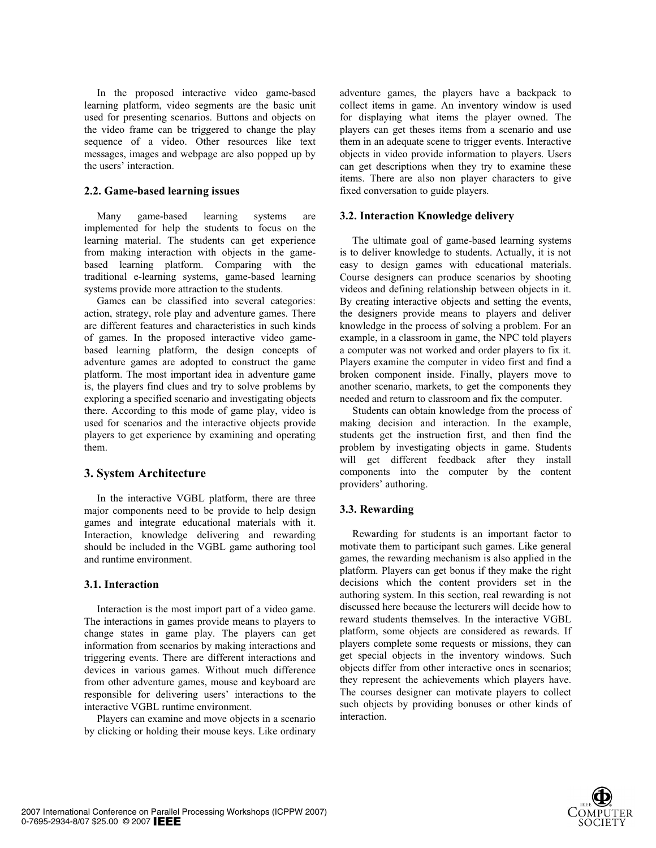In the proposed interactive video game-based learning platform, video segments are the basic unit used for presenting scenarios. Buttons and objects on the video frame can be triggered to change the play sequence of a video. Other resources like text messages, images and webpage are also popped up by the users' interaction.

#### **2.2. Game-based learning issues**

Many game-based learning systems are implemented for help the students to focus on the learning material. The students can get experience from making interaction with objects in the gamebased learning platform. Comparing with the traditional e-learning systems, game-based learning systems provide more attraction to the students.

Games can be classified into several categories: action, strategy, role play and adventure games. There are different features and characteristics in such kinds of games. In the proposed interactive video gamebased learning platform, the design concepts of adventure games are adopted to construct the game platform. The most important idea in adventure game is, the players find clues and try to solve problems by exploring a specified scenario and investigating objects there. According to this mode of game play, video is used for scenarios and the interactive objects provide players to get experience by examining and operating them.

#### **3. System Architecture**

In the interactive VGBL platform, there are three major components need to be provide to help design games and integrate educational materials with it. Interaction, knowledge delivering and rewarding should be included in the VGBL game authoring tool and runtime environment.

#### **3.1. Interaction**

Interaction is the most import part of a video game. The interactions in games provide means to players to change states in game play. The players can get information from scenarios by making interactions and triggering events. There are different interactions and devices in various games. Without much difference from other adventure games, mouse and keyboard are responsible for delivering users' interactions to the interactive VGBL runtime environment.

Players can examine and move objects in a scenario by clicking or holding their mouse keys. Like ordinary

adventure games, the players have a backpack to collect items in game. An inventory window is used for displaying what items the player owned. The players can get theses items from a scenario and use them in an adequate scene to trigger events. Interactive objects in video provide information to players. Users can get descriptions when they try to examine these items. There are also non player characters to give fixed conversation to guide players.

#### **3.2. Interaction Knowledge delivery**

The ultimate goal of game-based learning systems is to deliver knowledge to students. Actually, it is not easy to design games with educational materials. Course designers can produce scenarios by shooting videos and defining relationship between objects in it. By creating interactive objects and setting the events, the designers provide means to players and deliver knowledge in the process of solving a problem. For an example, in a classroom in game, the NPC told players a computer was not worked and order players to fix it. Players examine the computer in video first and find a broken component inside. Finally, players move to another scenario, markets, to get the components they needed and return to classroom and fix the computer.

Students can obtain knowledge from the process of making decision and interaction. In the example, students get the instruction first, and then find the problem by investigating objects in game. Students will get different feedback after they install components into the computer by the content providers' authoring.

## **3.3. Rewarding**

Rewarding for students is an important factor to motivate them to participant such games. Like general games, the rewarding mechanism is also applied in the platform. Players can get bonus if they make the right decisions which the content providers set in the authoring system. In this section, real rewarding is not discussed here because the lecturers will decide how to reward students themselves. In the interactive VGBL platform, some objects are considered as rewards. If players complete some requests or missions, they can get special objects in the inventory windows. Such objects differ from other interactive ones in scenarios; they represent the achievements which players have. The courses designer can motivate players to collect such objects by providing bonuses or other kinds of interaction.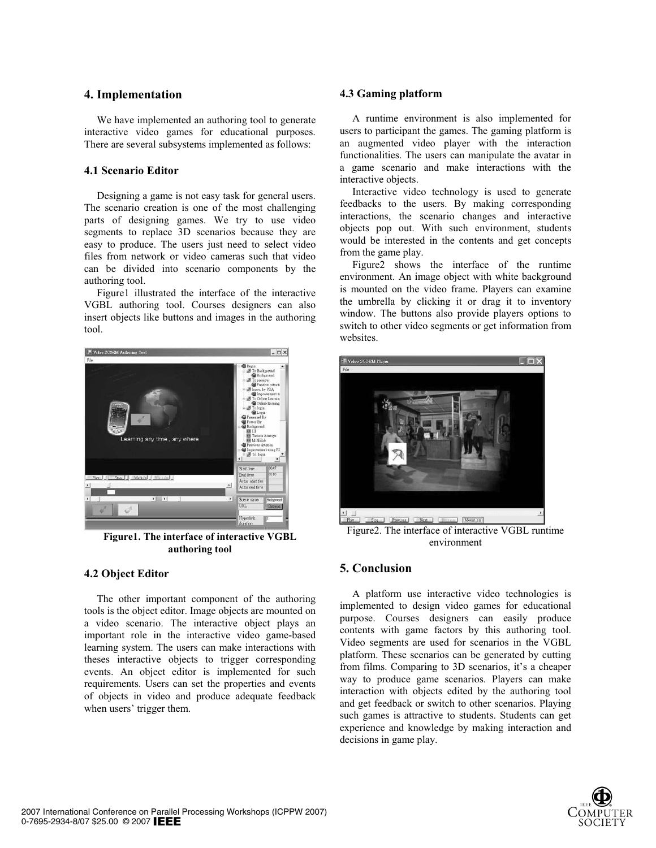#### **4. Implementation**

We have implemented an authoring tool to generate interactive video games for educational purposes. There are several subsystems implemented as follows:

### **4.1 Scenario Editor**

Designing a game is not easy task for general users. The scenario creation is one of the most challenging parts of designing games. We try to use video segments to replace 3D scenarios because they are easy to produce. The users just need to select video files from network or video cameras such that video can be divided into scenario components by the authoring tool.

Figure1 illustrated the interface of the interactive VGBL authoring tool. Courses designers can also insert objects like buttons and images in the authoring tool.



**Figure1. The interface of interactive VGBL authoring tool** 

#### **4.2 Object Editor**

The other important component of the authoring tools is the object editor. Image objects are mounted on a video scenario. The interactive object plays an important role in the interactive video game-based learning system. The users can make interactions with theses interactive objects to trigger corresponding events. An object editor is implemented for such requirements. Users can set the properties and events of objects in video and produce adequate feedback when users' trigger them.

## **4.3 Gaming platform**

A runtime environment is also implemented for users to participant the games. The gaming platform is an augmented video player with the interaction functionalities. The users can manipulate the avatar in a game scenario and make interactions with the interactive objects.

Interactive video technology is used to generate feedbacks to the users. By making corresponding interactions, the scenario changes and interactive objects pop out. With such environment, students would be interested in the contents and get concepts from the game play.

Figure2 shows the interface of the runtime environment. An image object with white background is mounted on the video frame. Players can examine the umbrella by clicking it or drag it to inventory window. The buttons also provide players options to switch to other video segments or get information from websites.



Figure2. The interface of interactive VGBL runtime environment

## **5. Conclusion**

A platform use interactive video technologies is implemented to design video games for educational purpose. Courses designers can easily produce contents with game factors by this authoring tool. Video segments are used for scenarios in the VGBL platform. These scenarios can be generated by cutting from films. Comparing to 3D scenarios, it's a cheaper way to produce game scenarios. Players can make interaction with objects edited by the authoring tool and get feedback or switch to other scenarios. Playing such games is attractive to students. Students can get experience and knowledge by making interaction and decisions in game play.